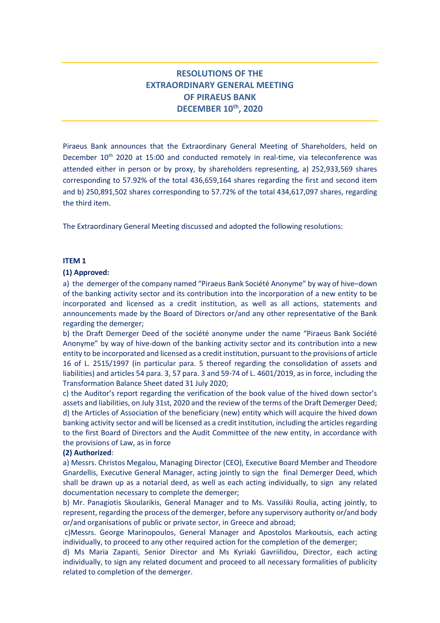# **RESOLUTIONS OF THE EXTRAORDINARY GENERAL MEETING OF PIRAEUS BANK DECEMBER 10 th, 2020**

Piraeus Bank announces that the Extraordinary General Meeting of Shareholders, held on December 10<sup>th</sup> 2020 at 15:00 and conducted remotely in real-time, via teleconference was attended either in person or by proxy, by shareholders representing, a) 252,933,569 shares corresponding to 57.92% of the total 436,659,164 shares regarding the first and second item and b) 250,891,502 shares corresponding to 57.72% of the total 434,617,097 shares, regarding the third item.

The Extraordinary General Meeting discussed and adopted the following resolutions:

# **ITEM 1**

## **(1) Approved:**

a) the demerger of the company named "Piraeus Bank Société Anonyme" by way of hive–down of the banking activity sector and its contribution into the incorporation of a new entity to be incorporated and licensed as a credit institution, as well as all actions, statements and announcements made by the Board of Directors or/and any other representative of the Bank regarding the demerger;

b) the Draft Demerger Deed of the société anonyme under the name "Piraeus Bank Société Anonyme" by way of hive-down of the banking activity sector and its contribution into a new entity to be incorporated and licensed as a credit institution, pursuant to the provisions of article 16 of L. 2515/1997 (in particular para. 5 thereof regarding the consolidation of assets and liabilities) and articles 54 para. 3, 57 para. 3 and 59-74 of L. 4601/2019, as in force, including the Transformation Balance Sheet dated 31 July 2020;

c) the Auditor's report regarding the verification of the book value of the hived down sector's assets and liabilities, on July 31st, 2020 and the review of the terms of the Draft Demerger Deed; d) the Articles of Association of the beneficiary (new) entity which will acquire the hived down banking activity sector and will be licensed as a credit institution, including the articles regarding to the first Board of Directors and the Audit Committee of the new entity, in accordance with the provisions of Law, as in force

# **(2) Authorized**:

a) Messrs. Christos Megalou, Managing Director (CEO), Executive Board Member and Theodore Gnardellis, Executive General Manager, acting jointly to sign the final Demerger Deed, which shall be drawn up as a notarial deed, as well as each acting individually, to sign any related documentation necessary to complete the demerger;

b) Mr. Panagiotis Skoularikis, General Manager and to Ms. Vassiliki Roulia, acting jointly, to represent, regarding the process of the demerger, before any supervisory authority or/and body or/and organisations of public or private sector, in Greece and abroad;

c)Messrs. George Marinopoulos, General Manager and Apostolos Markoutsis, each acting individually, to proceed to any other required action for the completion of the demerger;

d) Ms Maria Zapanti, Senior Director and Ms Kyriaki Gavriilidou, Director, each acting individually, to sign any related document and proceed to all necessary formalities of publicity related to completion of the demerger.